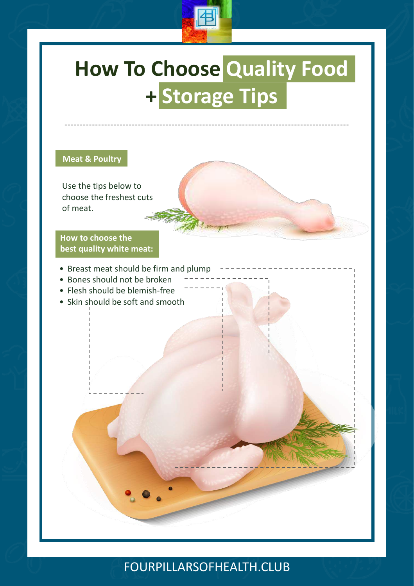

# **Science of Spices: Turmeric How To Choose Quality Food + Storage Tips**

#### **Meat & Poultry**

Use the tips below to choose the freshest cuts of meat.

**How to choose the best quality white meat:**

- Breast meat should be firm and plump
- Bones should not be broken
- Flesh should be blemish-free
- Skin should be soft and smooth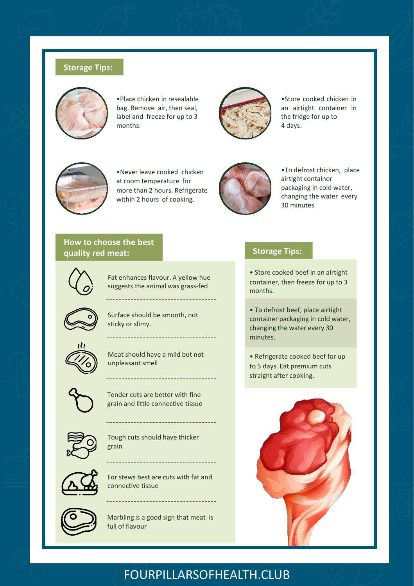#### **Storage Tips:**



•Place chicken in resealable bag. Remove air, then seal, label and freeze for up to 3 months.



•Store cooked chicken in an airtight container in the fridge for up to 4 days.



•Never leave cooked chicken at room temperature for more than 2 hours. Refrigerate within 2 hours of cooking.



•To defrost chicken, place airtight container packaging in cold water, changing the water every 30 minutes.

### **How to choose the best quality red meat:**



Fat enhances flavour. A yellow hue suggests the animal was grass-fed

--------------------------------

----------------------



Surface should be smooth, not sticky or slimy.



Meat should have a mild but not unpleasant smell



Tender cuts are better with fine grain and little connective tissue



Tough cuts should have thicker grain

----------------------------



For stews best are cuts with fat and

connective tissue

Marbling is a good sign that meat is full of flavour

--------------------------------

#### **Storage Tips:**

• Store cooked beef in an airtight container, then freeze for up to 3 months.

• To defrost beef, place airtight container packaging in cold water, changing the water every 30 minutes.

• Refrigerate cooked beef for up to 5 days. Eat premium cuts straight after cooking.

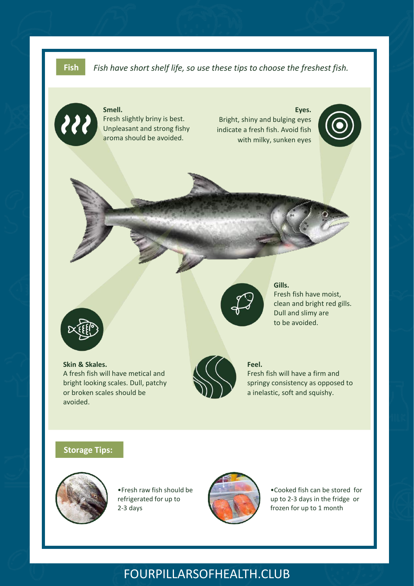**Fish** *Fish have short shelf life, so use these tips to choose the freshest fish.*



#### **Smell.** Fresh slightly briny is best. Unpleasant and strong fishy aroma should be avoided.

**Eyes.** Bright, shiny and bulging eyes indicate a fresh fish. Avoid fish with milky, sunken eyes





#### **Skin & Skales.** A fresh fish will have metical and bright looking scales. Dull, patchy or broken scales should be avoided.



#### **Gills.**

Fresh fish have moist, clean and bright red gills. Dull and slimy are to be avoided.

**Feel.**

Fresh fish will have a firm and springy consistency as opposed to a inelastic, soft and squishy.

#### **Storage Tips:**



•Fresh raw fish should be refrigerated for up to 2-3 days



•Cooked fish can be stored for up to 2-3 days in the fridge or frozen for up to 1 month